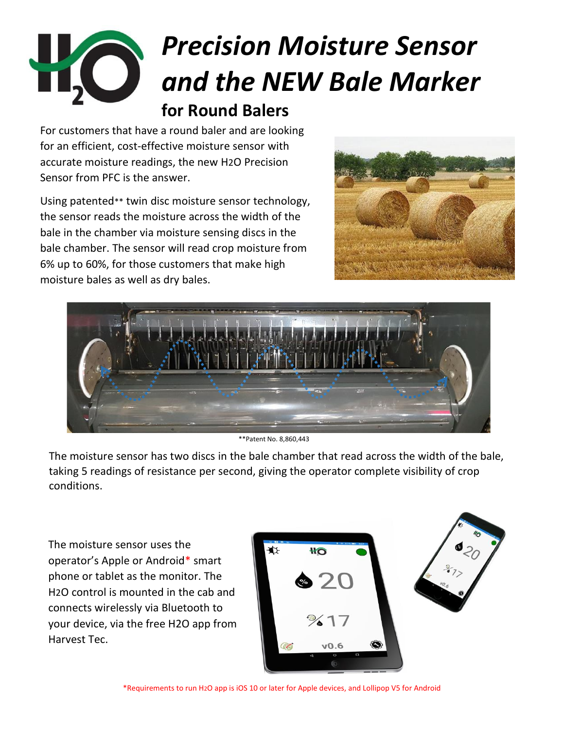## *Precision Moisture Sensor and the NEW Bale Marker* **for Round Balers**

For customers that have a round baler and are looking for an efficient, cost-effective moisture sensor with accurate moisture readings, the new H2O Precision Sensor from PFC is the answer.

Using patented\*\* twin disc moisture sensor technology, the sensor reads the moisture across the width of the bale in the chamber via moisture sensing discs in the bale chamber. The sensor will read crop moisture from 6% up to 60%, for those customers that make high moisture bales as well as dry bales.





\*\*Patent No. 8,860,443

The moisture sensor has two discs in the bale chamber that read across the width of the bale, taking 5 readings of resistance per second, giving the operator complete visibility of crop conditions.

The moisture sensor uses the operator's Apple or Android\* smart phone or tablet as the monitor. The H2O control is mounted in the cab and connects wirelessly via Bluetooth to your device, via the free H2O app from Harvest Tec.



\*Requirements to run H2O app is iOS 10 or later for Apple devices, and Lollipop V5 for Android